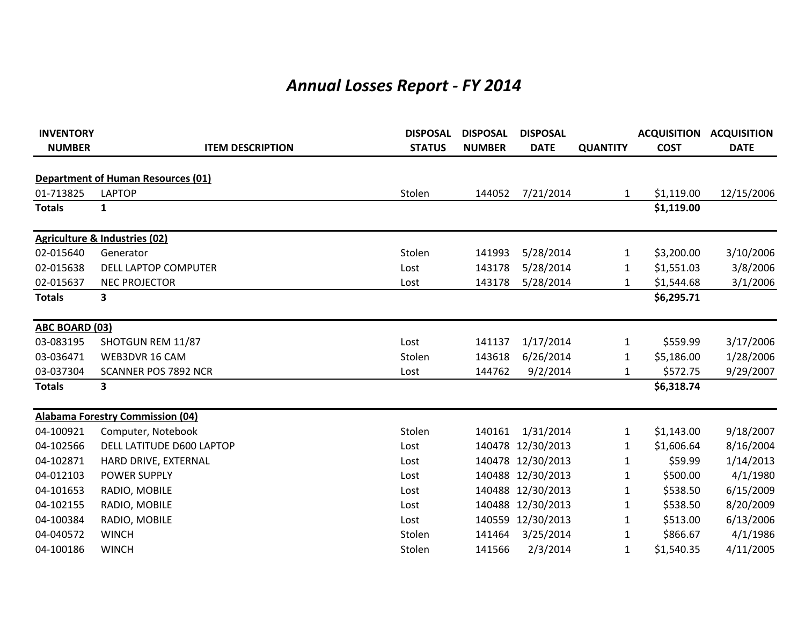## *Annual Losses Report - FY 2014*

| <b>INVENTORY</b>      |                                           | <b>DISPOSAL</b> | <b>DISPOSAL</b> | <b>DISPOSAL</b>   |                 |             | <b>ACQUISITION ACQUISITION</b> |
|-----------------------|-------------------------------------------|-----------------|-----------------|-------------------|-----------------|-------------|--------------------------------|
| <b>NUMBER</b>         | <b>ITEM DESCRIPTION</b>                   | <b>STATUS</b>   | <b>NUMBER</b>   | <b>DATE</b>       | <b>QUANTITY</b> | <b>COST</b> | <b>DATE</b>                    |
|                       | <b>Department of Human Resources (01)</b> |                 |                 |                   |                 |             |                                |
| 01-713825             | <b>LAPTOP</b>                             | Stolen          | 144052          | 7/21/2014         | 1               | \$1,119.00  | 12/15/2006                     |
| <b>Totals</b>         | 1                                         |                 |                 |                   |                 | \$1,119.00  |                                |
|                       | <b>Agriculture &amp; Industries (02)</b>  |                 |                 |                   |                 |             |                                |
| 02-015640             | Generator                                 | Stolen          | 141993          | 5/28/2014         | 1               | \$3,200.00  | 3/10/2006                      |
| 02-015638             | <b>DELL LAPTOP COMPUTER</b>               | Lost            | 143178          | 5/28/2014         | 1               | \$1,551.03  | 3/8/2006                       |
| 02-015637             | <b>NEC PROJECTOR</b>                      | Lost            | 143178          | 5/28/2014         | 1               | \$1,544.68  | 3/1/2006                       |
| <b>Totals</b>         | 3                                         |                 |                 |                   |                 | \$6,295.71  |                                |
| <b>ABC BOARD (03)</b> |                                           |                 |                 |                   |                 |             |                                |
| 03-083195             | SHOTGUN REM 11/87                         | Lost            | 141137          | 1/17/2014         | 1               | \$559.99    | 3/17/2006                      |
| 03-036471             | WEB3DVR 16 CAM                            | Stolen          | 143618          | 6/26/2014         | 1               | \$5,186.00  | 1/28/2006                      |
| 03-037304             | <b>SCANNER POS 7892 NCR</b>               | Lost            | 144762          | 9/2/2014          | $\mathbf{1}$    | \$572.75    | 9/29/2007                      |
| <b>Totals</b>         | 3                                         |                 |                 |                   |                 | \$6,318.74  |                                |
|                       | <b>Alabama Forestry Commission (04)</b>   |                 |                 |                   |                 |             |                                |
| 04-100921             | Computer, Notebook                        | Stolen          | 140161          | 1/31/2014         | 1               | \$1,143.00  | 9/18/2007                      |
| 04-102566             | DELL LATITUDE D600 LAPTOP                 | Lost            |                 | 140478 12/30/2013 | $\mathbf{1}$    | \$1,606.64  | 8/16/2004                      |
| 04-102871             | HARD DRIVE, EXTERNAL                      | Lost            |                 | 140478 12/30/2013 | 1               | \$59.99     | 1/14/2013                      |
| 04-012103             | <b>POWER SUPPLY</b>                       | Lost            |                 | 140488 12/30/2013 | $\mathbf{1}$    | \$500.00    | 4/1/1980                       |
| 04-101653             | RADIO, MOBILE                             | Lost            |                 | 140488 12/30/2013 | 1               | \$538.50    | 6/15/2009                      |
| 04-102155             | RADIO, MOBILE                             | Lost            |                 | 140488 12/30/2013 | 1               | \$538.50    | 8/20/2009                      |
| 04-100384             | RADIO, MOBILE                             | Lost            |                 | 140559 12/30/2013 | $\mathbf{1}$    | \$513.00    | 6/13/2006                      |
| 04-040572             | <b>WINCH</b>                              | Stolen          | 141464          | 3/25/2014         | 1               | \$866.67    | 4/1/1986                       |
| 04-100186             | <b>WINCH</b>                              | Stolen          | 141566          | 2/3/2014          | 1               | \$1,540.35  | 4/11/2005                      |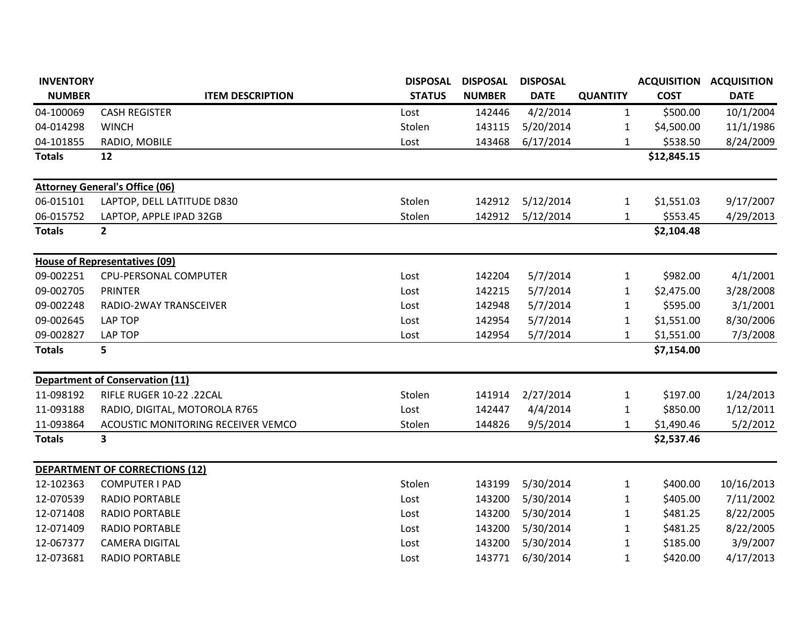| <b>INVENTORY</b> |                                        | <b>DISPOSAL</b> | <b>DISPOSAL</b> | <b>DISPOSAL</b> |                 | <b>ACQUISITION ACQUISITION</b> |             |
|------------------|----------------------------------------|-----------------|-----------------|-----------------|-----------------|--------------------------------|-------------|
| <b>NUMBER</b>    | <b>ITEM DESCRIPTION</b>                | <b>STATUS</b>   | <b>NUMBER</b>   | <b>DATE</b>     | <b>QUANTITY</b> | <b>COST</b>                    | <b>DATE</b> |
| 04-100069        | <b>CASH REGISTER</b>                   | Lost            | 142446          | 4/2/2014        | $\mathbf{1}$    | \$500.00                       | 10/1/2004   |
| 04-014298        | <b>WINCH</b>                           | Stolen          | 143115          | 5/20/2014       | 1               | \$4,500.00                     | 11/1/1986   |
| 04-101855        | RADIO, MOBILE                          | Lost            | 143468          | 6/17/2014       | 1               | \$538.50                       | 8/24/2009   |
| <b>Totals</b>    | 12                                     |                 |                 |                 |                 | \$12,845.15                    |             |
|                  | <b>Attorney General's Office (06)</b>  |                 |                 |                 |                 |                                |             |
| 06-015101        | LAPTOP, DELL LATITUDE D830             | Stolen          | 142912          | 5/12/2014       | $\mathbf{1}$    | \$1,551.03                     | 9/17/2007   |
| 06-015752        | LAPTOP, APPLE IPAD 32GB                | Stolen          | 142912          | 5/12/2014       | 1               | \$553.45                       | 4/29/2013   |
| <b>Totals</b>    | $\overline{2}$                         |                 |                 |                 |                 | \$2,104.48                     |             |
|                  | <b>House of Representatives (09)</b>   |                 |                 |                 |                 |                                |             |
| 09-002251        | CPU-PERSONAL COMPUTER                  | Lost            | 142204          | 5/7/2014        | $\mathbf{1}$    | \$982.00                       | 4/1/2001    |
| 09-002705        | <b>PRINTER</b>                         | Lost            | 142215          | 5/7/2014        | 1               | \$2,475.00                     | 3/28/2008   |
| 09-002248        | RADIO-2WAY TRANSCEIVER                 | Lost            | 142948          | 5/7/2014        | 1               | \$595.00                       | 3/1/2001    |
| 09-002645        | <b>LAP TOP</b>                         | Lost            | 142954          | 5/7/2014        | 1               | \$1,551.00                     | 8/30/2006   |
| 09-002827        | <b>LAP TOP</b>                         | Lost            | 142954          | 5/7/2014        | 1               | \$1,551.00                     | 7/3/2008    |
| <b>Totals</b>    | 5                                      |                 |                 |                 |                 | \$7,154.00                     |             |
|                  | <b>Department of Conservation (11)</b> |                 |                 |                 |                 |                                |             |
| 11-098192        | RIFLE RUGER 10-22 .22CAL               | Stolen          | 141914          | 2/27/2014       | $\mathbf{1}$    | \$197.00                       | 1/24/2013   |
| 11-093188        | RADIO, DIGITAL, MOTOROLA R765          | Lost            | 142447          | 4/4/2014        | 1               | \$850.00                       | 1/12/2011   |
| 11-093864        | ACOUSTIC MONITORING RECEIVER VEMCO     | Stolen          | 144826          | 9/5/2014        | 1               | \$1,490.46                     | 5/2/2012    |
| <b>Totals</b>    | 3                                      |                 |                 |                 |                 | \$2,537.46                     |             |
|                  | <b>DEPARTMENT OF CORRECTIONS (12)</b>  |                 |                 |                 |                 |                                |             |
| 12-102363        | <b>COMPUTER I PAD</b>                  | Stolen          | 143199          | 5/30/2014       | 1               | \$400.00                       | 10/16/2013  |
| 12-070539        | <b>RADIO PORTABLE</b>                  | Lost            | 143200          | 5/30/2014       | 1               | \$405.00                       | 7/11/2002   |
| 12-071408        | <b>RADIO PORTABLE</b>                  | Lost            | 143200          | 5/30/2014       | 1               | \$481.25                       | 8/22/2005   |
| 12-071409        | <b>RADIO PORTABLE</b>                  | Lost            | 143200          | 5/30/2014       | 1               | \$481.25                       | 8/22/2005   |
| 12-067377        | <b>CAMERA DIGITAL</b>                  | Lost            | 143200          | 5/30/2014       | 1               | \$185.00                       | 3/9/2007    |
| 12-073681        | <b>RADIO PORTABLE</b>                  | Lost            | 143771          | 6/30/2014       | $\mathbf{1}$    | \$420.00                       | 4/17/2013   |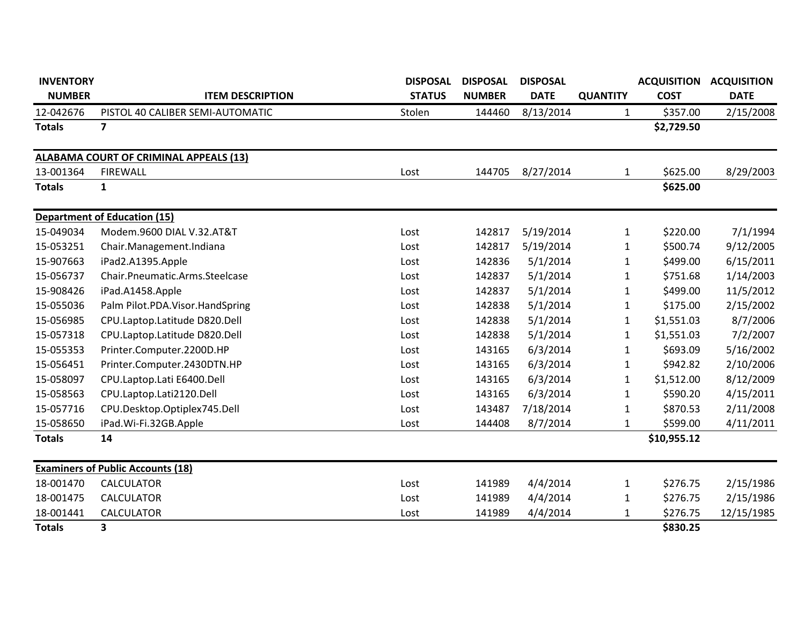| <b>INVENTORY</b> |                                          | <b>DISPOSAL</b> | <b>DISPOSAL</b> | <b>DISPOSAL</b> |                 | <b>ACQUISITION</b> | <b>ACQUISITION</b> |
|------------------|------------------------------------------|-----------------|-----------------|-----------------|-----------------|--------------------|--------------------|
| <b>NUMBER</b>    | <b>ITEM DESCRIPTION</b>                  | <b>STATUS</b>   | <b>NUMBER</b>   | <b>DATE</b>     | <b>QUANTITY</b> | <b>COST</b>        | <b>DATE</b>        |
| 12-042676        | PISTOL 40 CALIBER SEMI-AUTOMATIC         | Stolen          | 144460          | 8/13/2014       | 1               | \$357.00           | 2/15/2008          |
| <b>Totals</b>    | $\overline{\mathbf{z}}$                  |                 |                 |                 |                 | \$2,729.50         |                    |
|                  | ALABAMA COURT OF CRIMINAL APPEALS (13)   |                 |                 |                 |                 |                    |                    |
| 13-001364        | <b>FIREWALL</b>                          | Lost            | 144705          | 8/27/2014       | $\mathbf{1}$    | \$625.00           | 8/29/2003          |
| <b>Totals</b>    | $\mathbf{1}$                             |                 |                 |                 |                 | \$625.00           |                    |
|                  | <b>Department of Education (15)</b>      |                 |                 |                 |                 |                    |                    |
| 15-049034        | Modem.9600 DIAL V.32.AT&T                | Lost            | 142817          | 5/19/2014       | 1               | \$220.00           | 7/1/1994           |
| 15-053251        | Chair.Management.Indiana                 | Lost            | 142817          | 5/19/2014       | 1               | \$500.74           | 9/12/2005          |
| 15-907663        | iPad2.A1395.Apple                        | Lost            | 142836          | 5/1/2014        | 1               | \$499.00           | 6/15/2011          |
| 15-056737        | Chair.Pneumatic.Arms.Steelcase           | Lost            | 142837          | 5/1/2014        | 1               | \$751.68           | 1/14/2003          |
| 15-908426        | iPad.A1458.Apple                         | Lost            | 142837          | 5/1/2014        | 1               | \$499.00           | 11/5/2012          |
| 15-055036        | Palm Pilot.PDA.Visor.HandSpring          | Lost            | 142838          | 5/1/2014        | 1               | \$175.00           | 2/15/2002          |
| 15-056985        | CPU.Laptop.Latitude D820.Dell            | Lost            | 142838          | 5/1/2014        | 1               | \$1,551.03         | 8/7/2006           |
| 15-057318        | CPU.Laptop.Latitude D820.Dell            | Lost            | 142838          | 5/1/2014        | 1               | \$1,551.03         | 7/2/2007           |
| 15-055353        | Printer.Computer.2200D.HP                | Lost            | 143165          | 6/3/2014        | 1               | \$693.09           | 5/16/2002          |
| 15-056451        | Printer.Computer.2430DTN.HP              | Lost            | 143165          | 6/3/2014        | 1               | \$942.82           | 2/10/2006          |
| 15-058097        | CPU.Laptop.Lati E6400.Dell               | Lost            | 143165          | 6/3/2014        | $\mathbf{1}$    | \$1,512.00         | 8/12/2009          |
| 15-058563        | CPU.Laptop.Lati2120.Dell                 | Lost            | 143165          | 6/3/2014        | 1               | \$590.20           | 4/15/2011          |
| 15-057716        | CPU.Desktop.Optiplex745.Dell             | Lost            | 143487          | 7/18/2014       | 1               | \$870.53           | 2/11/2008          |
| 15-058650        | iPad.Wi-Fi.32GB.Apple                    | Lost            | 144408          | 8/7/2014        | $\mathbf{1}$    | \$599.00           | 4/11/2011          |
| <b>Totals</b>    | 14                                       |                 |                 |                 |                 | \$10,955.12        |                    |
|                  | <b>Examiners of Public Accounts (18)</b> |                 |                 |                 |                 |                    |                    |
| 18-001470        | <b>CALCULATOR</b>                        | Lost            | 141989          | 4/4/2014        | $\mathbf{1}$    | \$276.75           | 2/15/1986          |
| 18-001475        | <b>CALCULATOR</b>                        | Lost            | 141989          | 4/4/2014        | 1               | \$276.75           | 2/15/1986          |
| 18-001441        | <b>CALCULATOR</b>                        | Lost            | 141989          | 4/4/2014        | 1               | \$276.75           | 12/15/1985         |
| <b>Totals</b>    | 3                                        |                 |                 |                 |                 | \$830.25           |                    |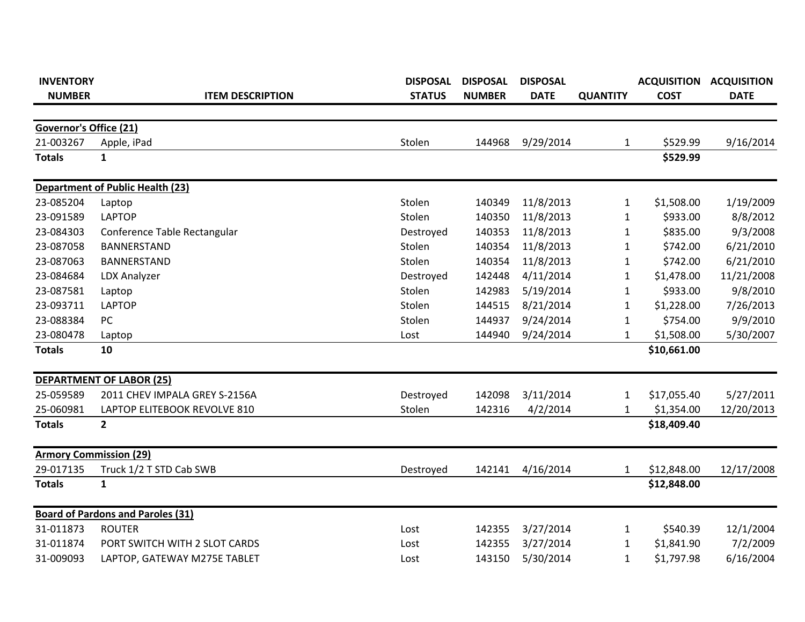| <b>INVENTORY</b>              |                                          | <b>DISPOSAL</b> | <b>DISPOSAL</b> | <b>DISPOSAL</b> |                 |             | <b>ACQUISITION ACQUISITION</b> |
|-------------------------------|------------------------------------------|-----------------|-----------------|-----------------|-----------------|-------------|--------------------------------|
| <b>NUMBER</b>                 | <b>ITEM DESCRIPTION</b>                  | <b>STATUS</b>   | <b>NUMBER</b>   | <b>DATE</b>     | <b>QUANTITY</b> | <b>COST</b> | <b>DATE</b>                    |
|                               |                                          |                 |                 |                 |                 |             |                                |
| <b>Governor's Office (21)</b> |                                          |                 |                 |                 |                 |             |                                |
| 21-003267                     | Apple, iPad                              | Stolen          | 144968          | 9/29/2014       | $\mathbf{1}$    | \$529.99    | 9/16/2014                      |
| <b>Totals</b>                 | $\mathbf{1}$                             |                 |                 |                 |                 | \$529.99    |                                |
|                               | <b>Department of Public Health (23)</b>  |                 |                 |                 |                 |             |                                |
| 23-085204                     | Laptop                                   | Stolen          | 140349          | 11/8/2013       | $\mathbf{1}$    | \$1,508.00  | 1/19/2009                      |
| 23-091589                     | <b>LAPTOP</b>                            | Stolen          | 140350          | 11/8/2013       | 1               | \$933.00    | 8/8/2012                       |
| 23-084303                     | Conference Table Rectangular             | Destroyed       | 140353          | 11/8/2013       | 1               | \$835.00    | 9/3/2008                       |
| 23-087058                     | BANNERSTAND                              | Stolen          | 140354          | 11/8/2013       | 1               | \$742.00    | 6/21/2010                      |
| 23-087063                     | BANNERSTAND                              | Stolen          | 140354          | 11/8/2013       | $\mathbf{1}$    | \$742.00    | 6/21/2010                      |
| 23-084684                     | <b>LDX Analyzer</b>                      | Destroyed       | 142448          | 4/11/2014       | $\mathbf{1}$    | \$1,478.00  | 11/21/2008                     |
| 23-087581                     | Laptop                                   | Stolen          | 142983          | 5/19/2014       | $\mathbf{1}$    | \$933.00    | 9/8/2010                       |
| 23-093711                     | <b>LAPTOP</b>                            | Stolen          | 144515          | 8/21/2014       | $\mathbf{1}$    | \$1,228.00  | 7/26/2013                      |
| 23-088384                     | PC                                       | Stolen          | 144937          | 9/24/2014       | $\mathbf{1}$    | \$754.00    | 9/9/2010                       |
| 23-080478                     | Laptop                                   | Lost            | 144940          | 9/24/2014       | $\mathbf{1}$    | \$1,508.00  | 5/30/2007                      |
| <b>Totals</b>                 | 10                                       |                 |                 |                 |                 | \$10,661.00 |                                |
|                               | <b>DEPARTMENT OF LABOR (25)</b>          |                 |                 |                 |                 |             |                                |
| 25-059589                     | 2011 CHEV IMPALA GREY S-2156A            | Destroyed       | 142098          | 3/11/2014       | 1               | \$17,055.40 | 5/27/2011                      |
| 25-060981                     | LAPTOP ELITEBOOK REVOLVE 810             | Stolen          | 142316          | 4/2/2014        | 1               | \$1,354.00  | 12/20/2013                     |
| <b>Totals</b>                 | $\overline{2}$                           |                 |                 |                 |                 | \$18,409.40 |                                |
|                               | <b>Armory Commission (29)</b>            |                 |                 |                 |                 |             |                                |
| 29-017135                     | Truck 1/2 T STD Cab SWB                  | Destroyed       | 142141          | 4/16/2014       | $\mathbf{1}$    | \$12,848.00 | 12/17/2008                     |
| <b>Totals</b>                 | $\mathbf{1}$                             |                 |                 |                 |                 | \$12,848.00 |                                |
|                               | <b>Board of Pardons and Paroles (31)</b> |                 |                 |                 |                 |             |                                |
| 31-011873                     | <b>ROUTER</b>                            | Lost            | 142355          | 3/27/2014       | 1               | \$540.39    | 12/1/2004                      |
| 31-011874                     | PORT SWITCH WITH 2 SLOT CARDS            | Lost            | 142355          | 3/27/2014       | 1               | \$1,841.90  | 7/2/2009                       |
| 31-009093                     | LAPTOP, GATEWAY M275E TABLET             | Lost            | 143150          | 5/30/2014       | $\mathbf{1}$    | \$1,797.98  | 6/16/2004                      |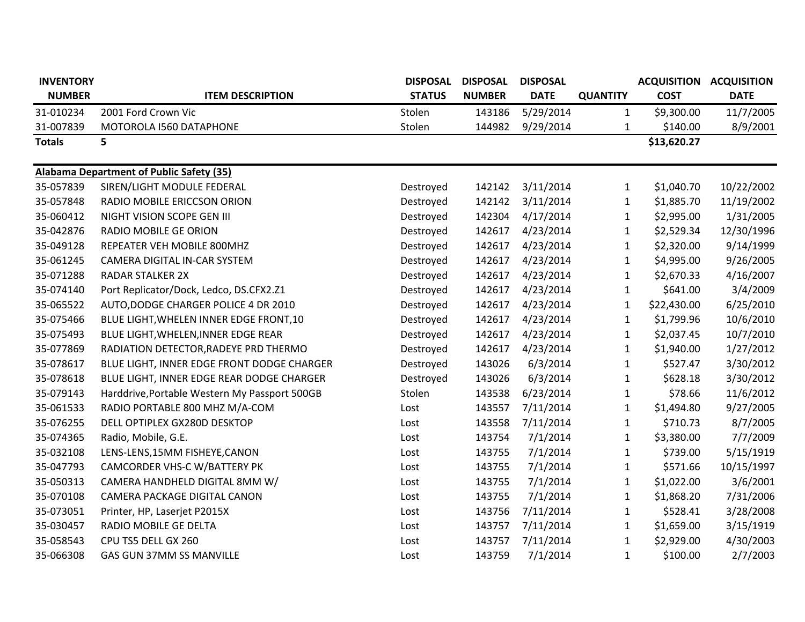| <b>INVENTORY</b> |                                               | <b>DISPOSAL</b> | <b>DISPOSAL</b> | <b>DISPOSAL</b> |                 | <b>ACQUISITION</b> | <b>ACQUISITION</b> |
|------------------|-----------------------------------------------|-----------------|-----------------|-----------------|-----------------|--------------------|--------------------|
| <b>NUMBER</b>    | <b>ITEM DESCRIPTION</b>                       | <b>STATUS</b>   | <b>NUMBER</b>   | <b>DATE</b>     | <b>QUANTITY</b> | <b>COST</b>        | <b>DATE</b>        |
| 31-010234        | 2001 Ford Crown Vic                           | Stolen          | 143186          | 5/29/2014       | $\mathbf{1}$    | \$9,300.00         | 11/7/2005          |
| 31-007839        | MOTOROLA I560 DATAPHONE                       | Stolen          | 144982          | 9/29/2014       | $\mathbf{1}$    | \$140.00           | 8/9/2001           |
| <b>Totals</b>    | 5                                             |                 |                 |                 |                 | \$13,620.27        |                    |
|                  | Alabama Department of Public Safety (35)      |                 |                 |                 |                 |                    |                    |
| 35-057839        | SIREN/LIGHT MODULE FEDERAL                    | Destroyed       | 142142          | 3/11/2014       | 1               | \$1,040.70         | 10/22/2002         |
| 35-057848        | RADIO MOBILE ERICCSON ORION                   | Destroyed       | 142142          | 3/11/2014       | $\mathbf{1}$    | \$1,885.70         | 11/19/2002         |
| 35-060412        | NIGHT VISION SCOPE GEN III                    | Destroyed       | 142304          | 4/17/2014       | $\mathbf{1}$    | \$2,995.00         | 1/31/2005          |
| 35-042876        | RADIO MOBILE GE ORION                         | Destroyed       | 142617          | 4/23/2014       | $\mathbf{1}$    | \$2,529.34         | 12/30/1996         |
| 35-049128        | REPEATER VEH MOBILE 800MHZ                    | Destroyed       | 142617          | 4/23/2014       | $\mathbf{1}$    | \$2,320.00         | 9/14/1999          |
| 35-061245        | CAMERA DIGITAL IN-CAR SYSTEM                  | Destroyed       | 142617          | 4/23/2014       | $\mathbf{1}$    | \$4,995.00         | 9/26/2005          |
| 35-071288        | <b>RADAR STALKER 2X</b>                       | Destroyed       | 142617          | 4/23/2014       | $\mathbf{1}$    | \$2,670.33         | 4/16/2007          |
| 35-074140        | Port Replicator/Dock, Ledco, DS.CFX2.Z1       | Destroyed       | 142617          | 4/23/2014       | $\mathbf{1}$    | \$641.00           | 3/4/2009           |
| 35-065522        | AUTO, DODGE CHARGER POLICE 4 DR 2010          | Destroyed       | 142617          | 4/23/2014       | $\mathbf{1}$    | \$22,430.00        | 6/25/2010          |
| 35-075466        | BLUE LIGHT, WHELEN INNER EDGE FRONT, 10       | Destroyed       | 142617          | 4/23/2014       | $\mathbf 1$     | \$1,799.96         | 10/6/2010          |
| 35-075493        | BLUE LIGHT, WHELEN, INNER EDGE REAR           | Destroyed       | 142617          | 4/23/2014       | $\mathbf{1}$    | \$2,037.45         | 10/7/2010          |
| 35-077869        | RADIATION DETECTOR, RADEYE PRD THERMO         | Destroyed       | 142617          | 4/23/2014       | $\mathbf{1}$    | \$1,940.00         | 1/27/2012          |
| 35-078617        | BLUE LIGHT, INNER EDGE FRONT DODGE CHARGER    | Destroyed       | 143026          | 6/3/2014        | $\mathbf{1}$    | \$527.47           | 3/30/2012          |
| 35-078618        | BLUE LIGHT, INNER EDGE REAR DODGE CHARGER     | Destroyed       | 143026          | 6/3/2014        | $\mathbf{1}$    | \$628.18           | 3/30/2012          |
| 35-079143        | Harddrive, Portable Western My Passport 500GB | Stolen          | 143538          | 6/23/2014       | $\mathbf{1}$    | \$78.66            | 11/6/2012          |
| 35-061533        | RADIO PORTABLE 800 MHZ M/A-COM                | Lost            | 143557          | 7/11/2014       | $\mathbf{1}$    | \$1,494.80         | 9/27/2005          |
| 35-076255        | DELL OPTIPLEX GX280D DESKTOP                  | Lost            | 143558          | 7/11/2014       | $\mathbf{1}$    | \$710.73           | 8/7/2005           |
| 35-074365        | Radio, Mobile, G.E.                           | Lost            | 143754          | 7/1/2014        | $\mathbf 1$     | \$3,380.00         | 7/7/2009           |
| 35-032108        | LENS-LENS, 15MM FISHEYE, CANON                | Lost            | 143755          | 7/1/2014        | $\mathbf{1}$    | \$739.00           | 5/15/1919          |
| 35-047793        | CAMCORDER VHS-C W/BATTERY PK                  | Lost            | 143755          | 7/1/2014        | $\mathbf{1}$    | \$571.66           | 10/15/1997         |
| 35-050313        | CAMERA HANDHELD DIGITAL 8MM W/                | Lost            | 143755          | 7/1/2014        | $\mathbf{1}$    | \$1,022.00         | 3/6/2001           |
| 35-070108        | <b>CAMERA PACKAGE DIGITAL CANON</b>           | Lost            | 143755          | 7/1/2014        | $\mathbf{1}$    | \$1,868.20         | 7/31/2006          |
| 35-073051        | Printer, HP, Laserjet P2015X                  | Lost            | 143756          | 7/11/2014       | $\mathbf{1}$    | \$528.41           | 3/28/2008          |
| 35-030457        | RADIO MOBILE GE DELTA                         | Lost            | 143757          | 7/11/2014       | $\mathbf{1}$    | \$1,659.00         | 3/15/1919          |
| 35-058543        | CPU TS5 DELL GX 260                           | Lost            | 143757          | 7/11/2014       | $\mathbf{1}$    | \$2,929.00         | 4/30/2003          |
| 35-066308        | GAS GUN 37MM SS MANVILLE                      | Lost            | 143759          | 7/1/2014        | $\mathbf{1}$    | \$100.00           | 2/7/2003           |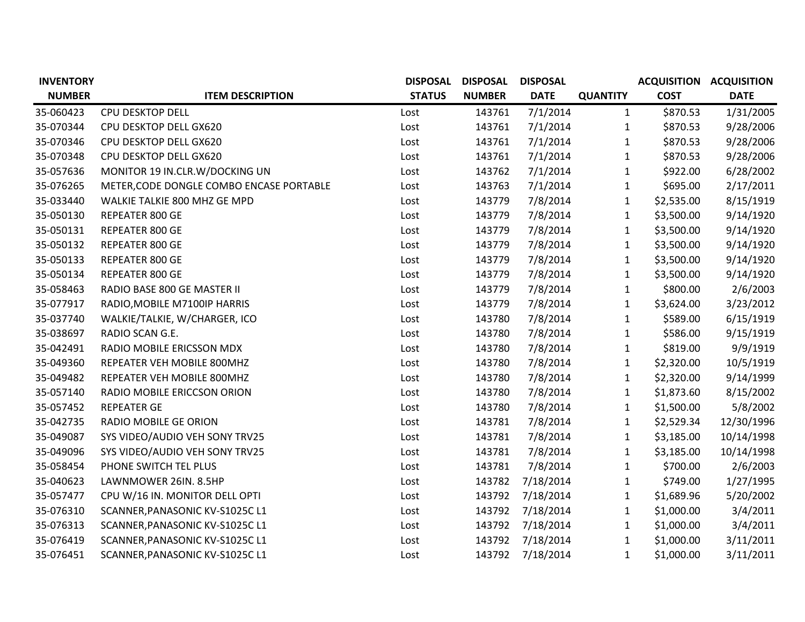| <b>INVENTORY</b> |                                          | <b>DISPOSAL</b> | <b>DISPOSAL</b> | <b>DISPOSAL</b> |                 | <b>ACQUISITION ACQUISITION</b> |             |
|------------------|------------------------------------------|-----------------|-----------------|-----------------|-----------------|--------------------------------|-------------|
| <b>NUMBER</b>    | <b>ITEM DESCRIPTION</b>                  | <b>STATUS</b>   | <b>NUMBER</b>   | <b>DATE</b>     | <b>QUANTITY</b> | <b>COST</b>                    | <b>DATE</b> |
| 35-060423        | <b>CPU DESKTOP DELL</b>                  | Lost            | 143761          | 7/1/2014        | $\mathbf{1}$    | \$870.53                       | 1/31/2005   |
| 35-070344        | CPU DESKTOP DELL GX620                   | Lost            | 143761          | 7/1/2014        | $\mathbf{1}$    | \$870.53                       | 9/28/2006   |
| 35-070346        | CPU DESKTOP DELL GX620                   | Lost            | 143761          | 7/1/2014        | $\mathbf{1}$    | \$870.53                       | 9/28/2006   |
| 35-070348        | CPU DESKTOP DELL GX620                   | Lost            | 143761          | 7/1/2014        | $\mathbf{1}$    | \$870.53                       | 9/28/2006   |
| 35-057636        | MONITOR 19 IN.CLR.W/DOCKING UN           | Lost            | 143762          | 7/1/2014        | $\mathbf{1}$    | \$922.00                       | 6/28/2002   |
| 35-076265        | METER, CODE DONGLE COMBO ENCASE PORTABLE | Lost            | 143763          | 7/1/2014        | $\mathbf{1}$    | \$695.00                       | 2/17/2011   |
| 35-033440        | WALKIE TALKIE 800 MHZ GE MPD             | Lost            | 143779          | 7/8/2014        | $\mathbf{1}$    | \$2,535.00                     | 8/15/1919   |
| 35-050130        | REPEATER 800 GE                          | Lost            | 143779          | 7/8/2014        | $\mathbf{1}$    | \$3,500.00                     | 9/14/1920   |
| 35-050131        | REPEATER 800 GE                          | Lost            | 143779          | 7/8/2014        | $\mathbf{1}$    | \$3,500.00                     | 9/14/1920   |
| 35-050132        | REPEATER 800 GE                          | Lost            | 143779          | 7/8/2014        | $\mathbf{1}$    | \$3,500.00                     | 9/14/1920   |
| 35-050133        | REPEATER 800 GE                          | Lost            | 143779          | 7/8/2014        | $\mathbf{1}$    | \$3,500.00                     | 9/14/1920   |
| 35-050134        | REPEATER 800 GE                          | Lost            | 143779          | 7/8/2014        | $\mathbf{1}$    | \$3,500.00                     | 9/14/1920   |
| 35-058463        | RADIO BASE 800 GE MASTER II              | Lost            | 143779          | 7/8/2014        | $\mathbf{1}$    | \$800.00                       | 2/6/2003    |
| 35-077917        | RADIO, MOBILE M7100IP HARRIS             | Lost            | 143779          | 7/8/2014        | $\mathbf{1}$    | \$3,624.00                     | 3/23/2012   |
| 35-037740        | WALKIE/TALKIE, W/CHARGER, ICO            | Lost            | 143780          | 7/8/2014        | $\mathbf{1}$    | \$589.00                       | 6/15/1919   |
| 35-038697        | RADIO SCAN G.E.                          | Lost            | 143780          | 7/8/2014        | $\mathbf{1}$    | \$586.00                       | 9/15/1919   |
| 35-042491        | RADIO MOBILE ERICSSON MDX                | Lost            | 143780          | 7/8/2014        | $\mathbf{1}$    | \$819.00                       | 9/9/1919    |
| 35-049360        | REPEATER VEH MOBILE 800MHZ               | Lost            | 143780          | 7/8/2014        | $\mathbf{1}$    | \$2,320.00                     | 10/5/1919   |
| 35-049482        | REPEATER VEH MOBILE 800MHZ               | Lost            | 143780          | 7/8/2014        | $\mathbf{1}$    | \$2,320.00                     | 9/14/1999   |
| 35-057140        | RADIO MOBILE ERICCSON ORION              | Lost            | 143780          | 7/8/2014        | $\mathbf{1}$    | \$1,873.60                     | 8/15/2002   |
| 35-057452        | <b>REPEATER GE</b>                       | Lost            | 143780          | 7/8/2014        | $\mathbf{1}$    | \$1,500.00                     | 5/8/2002    |
| 35-042735        | RADIO MOBILE GE ORION                    | Lost            | 143781          | 7/8/2014        | $\mathbf{1}$    | \$2,529.34                     | 12/30/1996  |
| 35-049087        | SYS VIDEO/AUDIO VEH SONY TRV25           | Lost            | 143781          | 7/8/2014        | $\mathbf{1}$    | \$3,185.00                     | 10/14/1998  |
| 35-049096        | SYS VIDEO/AUDIO VEH SONY TRV25           | Lost            | 143781          | 7/8/2014        | $\mathbf{1}$    | \$3,185.00                     | 10/14/1998  |
| 35-058454        | PHONE SWITCH TEL PLUS                    | Lost            | 143781          | 7/8/2014        | $\mathbf{1}$    | \$700.00                       | 2/6/2003    |
| 35-040623        | LAWNMOWER 26IN. 8.5HP                    | Lost            | 143782          | 7/18/2014       | $\mathbf{1}$    | \$749.00                       | 1/27/1995   |
| 35-057477        | CPU W/16 IN. MONITOR DELL OPTI           | Lost            | 143792          | 7/18/2014       | $\mathbf{1}$    | \$1,689.96                     | 5/20/2002   |
| 35-076310        | SCANNER, PANASONIC KV-S1025C L1          | Lost            | 143792          | 7/18/2014       | $\mathbf{1}$    | \$1,000.00                     | 3/4/2011    |
| 35-076313        | SCANNER, PANASONIC KV-S1025C L1          | Lost            | 143792          | 7/18/2014       | $\mathbf{1}$    | \$1,000.00                     | 3/4/2011    |
| 35-076419        | SCANNER, PANASONIC KV-S1025C L1          | Lost            | 143792          | 7/18/2014       | $\mathbf{1}$    | \$1,000.00                     | 3/11/2011   |
| 35-076451        | SCANNER, PANASONIC KV-S1025C L1          | Lost            | 143792          | 7/18/2014       | $\mathbf{1}$    | \$1,000.00                     | 3/11/2011   |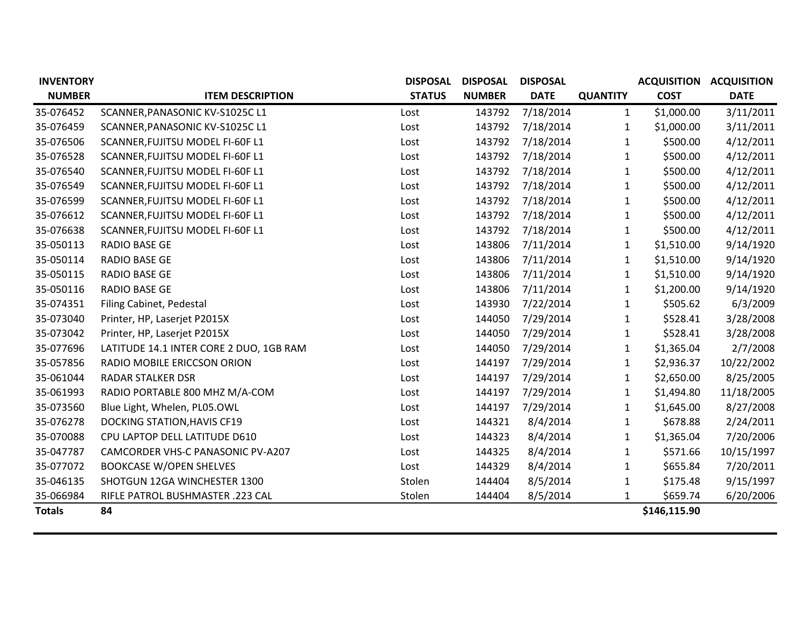| <b>INVENTORY</b> |                                         | <b>DISPOSAL</b> | <b>DISPOSAL</b> | <b>DISPOSAL</b> |                 | <b>ACQUISITION</b> | <b>ACQUISITION</b> |
|------------------|-----------------------------------------|-----------------|-----------------|-----------------|-----------------|--------------------|--------------------|
| <b>NUMBER</b>    | <b>ITEM DESCRIPTION</b>                 | <b>STATUS</b>   | <b>NUMBER</b>   | <b>DATE</b>     | <b>QUANTITY</b> | <b>COST</b>        | <b>DATE</b>        |
| 35-076452        | SCANNER, PANASONIC KV-S1025C L1         | Lost            | 143792          | 7/18/2014       | $\mathbf{1}$    | \$1,000.00         | 3/11/2011          |
| 35-076459        | SCANNER, PANASONIC KV-S1025C L1         | Lost            | 143792          | 7/18/2014       | $\mathbf{1}$    | \$1,000.00         | 3/11/2011          |
| 35-076506        | SCANNER, FUJITSU MODEL FI-60F L1        | Lost            | 143792          | 7/18/2014       | $\mathbf{1}$    | \$500.00           | 4/12/2011          |
| 35-076528        | SCANNER, FUJITSU MODEL FI-60F L1        | Lost            | 143792          | 7/18/2014       | $\mathbf{1}$    | \$500.00           | 4/12/2011          |
| 35-076540        | SCANNER, FUJITSU MODEL FI-60F L1        | Lost            | 143792          | 7/18/2014       | 1               | \$500.00           | 4/12/2011          |
| 35-076549        | SCANNER, FUJITSU MODEL FI-60F L1        | Lost            | 143792          | 7/18/2014       | $\mathbf{1}$    | \$500.00           | 4/12/2011          |
| 35-076599        | SCANNER, FUJITSU MODEL FI-60F L1        | Lost            | 143792          | 7/18/2014       | 1               | \$500.00           | 4/12/2011          |
| 35-076612        | SCANNER, FUJITSU MODEL FI-60F L1        | Lost            | 143792          | 7/18/2014       | 1               | \$500.00           | 4/12/2011          |
| 35-076638        | SCANNER, FUJITSU MODEL FI-60F L1        | Lost            | 143792          | 7/18/2014       | 1               | \$500.00           | 4/12/2011          |
| 35-050113        | <b>RADIO BASE GE</b>                    | Lost            | 143806          | 7/11/2014       | $\mathbf{1}$    | \$1,510.00         | 9/14/1920          |
| 35-050114        | <b>RADIO BASE GE</b>                    | Lost            | 143806          | 7/11/2014       | 1               | \$1,510.00         | 9/14/1920          |
| 35-050115        | <b>RADIO BASE GE</b>                    | Lost            | 143806          | 7/11/2014       | 1               | \$1,510.00         | 9/14/1920          |
| 35-050116        | <b>RADIO BASE GE</b>                    | Lost            | 143806          | 7/11/2014       | 1               | \$1,200.00         | 9/14/1920          |
| 35-074351        | Filing Cabinet, Pedestal                | Lost            | 143930          | 7/22/2014       | 1               | \$505.62           | 6/3/2009           |
| 35-073040        | Printer, HP, Laserjet P2015X            | Lost            | 144050          | 7/29/2014       | 1               | \$528.41           | 3/28/2008          |
| 35-073042        | Printer, HP, Laserjet P2015X            | Lost            | 144050          | 7/29/2014       | 1               | \$528.41           | 3/28/2008          |
| 35-077696        | LATITUDE 14.1 INTER CORE 2 DUO, 1GB RAM | Lost            | 144050          | 7/29/2014       | 1               | \$1,365.04         | 2/7/2008           |
| 35-057856        | RADIO MOBILE ERICCSON ORION             | Lost            | 144197          | 7/29/2014       | 1               | \$2,936.37         | 10/22/2002         |
| 35-061044        | <b>RADAR STALKER DSR</b>                | Lost            | 144197          | 7/29/2014       | $\mathbf{1}$    | \$2,650.00         | 8/25/2005          |
| 35-061993        | RADIO PORTABLE 800 MHZ M/A-COM          | Lost            | 144197          | 7/29/2014       | $\mathbf{1}$    | \$1,494.80         | 11/18/2005         |
| 35-073560        | Blue Light, Whelen, PL05.OWL            | Lost            | 144197          | 7/29/2014       | $\mathbf{1}$    | \$1,645.00         | 8/27/2008          |
| 35-076278        | <b>DOCKING STATION, HAVIS CF19</b>      | Lost            | 144321          | 8/4/2014        | $\mathbf{1}$    | \$678.88           | 2/24/2011          |
| 35-070088        | CPU LAPTOP DELL LATITUDE D610           | Lost            | 144323          | 8/4/2014        | $\mathbf{1}$    | \$1,365.04         | 7/20/2006          |
| 35-047787        | CAMCORDER VHS-C PANASONIC PV-A207       | Lost            | 144325          | 8/4/2014        | $\mathbf{1}$    | \$571.66           | 10/15/1997         |
| 35-077072        | <b>BOOKCASE W/OPEN SHELVES</b>          | Lost            | 144329          | 8/4/2014        | $\mathbf{1}$    | \$655.84           | 7/20/2011          |
| 35-046135        | SHOTGUN 12GA WINCHESTER 1300            | Stolen          | 144404          | 8/5/2014        | 1               | \$175.48           | 9/15/1997          |
| 35-066984        | RIFLE PATROL BUSHMASTER .223 CAL        | Stolen          | 144404          | 8/5/2014        | $\mathbf{1}$    | \$659.74           | 6/20/2006          |
| <b>Totals</b>    | 84                                      |                 |                 |                 |                 | \$146,115.90       |                    |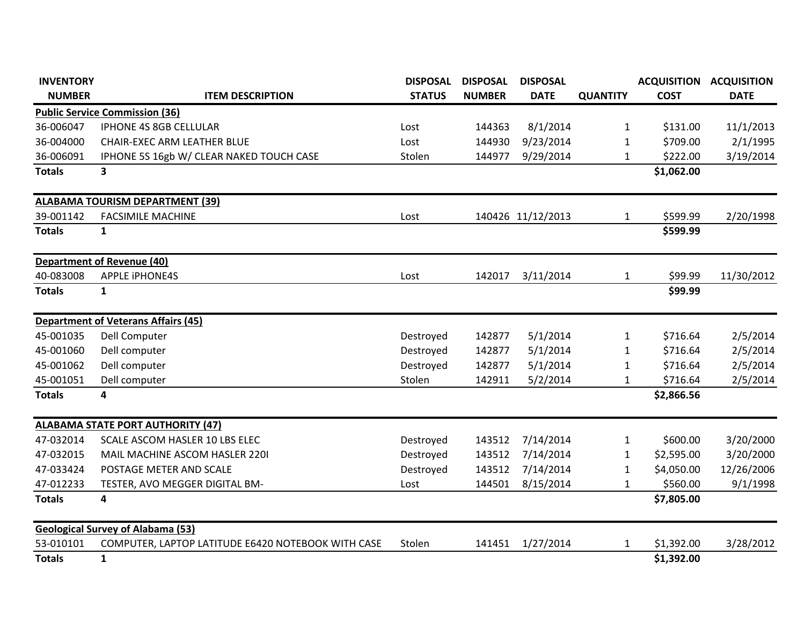| <b>INVENTORY</b> |                                                    | <b>DISPOSAL</b> | <b>DISPOSAL</b> | <b>DISPOSAL</b>   |                 | <b>ACQUISITION</b> | <b>ACQUISITION</b> |
|------------------|----------------------------------------------------|-----------------|-----------------|-------------------|-----------------|--------------------|--------------------|
| <b>NUMBER</b>    | <b>ITEM DESCRIPTION</b>                            | <b>STATUS</b>   | <b>NUMBER</b>   | <b>DATE</b>       | <b>QUANTITY</b> | <b>COST</b>        | <b>DATE</b>        |
|                  | <b>Public Service Commission (36)</b>              |                 |                 |                   |                 |                    |                    |
| 36-006047        | IPHONE 4S 8GB CELLULAR                             | Lost            | 144363          | 8/1/2014          | $\mathbf{1}$    | \$131.00           | 11/1/2013          |
| 36-004000        | <b>CHAIR-EXEC ARM LEATHER BLUE</b>                 | Lost            | 144930          | 9/23/2014         | $\mathbf{1}$    | \$709.00           | 2/1/1995           |
| 36-006091        | IPHONE 5S 16gb W/ CLEAR NAKED TOUCH CASE           | Stolen          | 144977          | 9/29/2014         | $\mathbf{1}$    | \$222.00           | 3/19/2014          |
| <b>Totals</b>    | $\overline{\mathbf{3}}$                            |                 |                 |                   |                 | \$1,062.00         |                    |
|                  | <b>ALABAMA TOURISM DEPARTMENT (39)</b>             |                 |                 |                   |                 |                    |                    |
| 39-001142        | <b>FACSIMILE MACHINE</b>                           | Lost            |                 | 140426 11/12/2013 | $\mathbf{1}$    | \$599.99           | 2/20/1998          |
| <b>Totals</b>    | $\mathbf{1}$                                       |                 |                 |                   |                 | \$599.99           |                    |
|                  | <b>Department of Revenue (40)</b>                  |                 |                 |                   |                 |                    |                    |
| 40-083008        | <b>APPLE IPHONE4S</b>                              | Lost            | 142017          | 3/11/2014         | $\mathbf{1}$    | \$99.99            | 11/30/2012         |
| <b>Totals</b>    | $\mathbf{1}$                                       |                 |                 |                   |                 | \$99.99            |                    |
|                  | <b>Department of Veterans Affairs (45)</b>         |                 |                 |                   |                 |                    |                    |
| 45-001035        | Dell Computer                                      | Destroyed       | 142877          | 5/1/2014          | $\mathbf{1}$    | \$716.64           | 2/5/2014           |
| 45-001060        | Dell computer                                      | Destroyed       | 142877          | 5/1/2014          | 1               | \$716.64           | 2/5/2014           |
| 45-001062        | Dell computer                                      | Destroyed       | 142877          | 5/1/2014          | $\mathbf{1}$    | \$716.64           | 2/5/2014           |
| 45-001051        | Dell computer                                      | Stolen          | 142911          | 5/2/2014          | 1               | \$716.64           | 2/5/2014           |
| <b>Totals</b>    | 4                                                  |                 |                 |                   |                 | \$2,866.56         |                    |
|                  | <b>ALABAMA STATE PORT AUTHORITY (47)</b>           |                 |                 |                   |                 |                    |                    |
| 47-032014        | SCALE ASCOM HASLER 10 LBS ELEC                     | Destroyed       | 143512          | 7/14/2014         | 1               | \$600.00           | 3/20/2000          |
| 47-032015        | MAIL MACHINE ASCOM HASLER 2201                     | Destroyed       | 143512          | 7/14/2014         | $\mathbf{1}$    | \$2,595.00         | 3/20/2000          |
| 47-033424        | POSTAGE METER AND SCALE                            | Destroyed       | 143512          | 7/14/2014         | 1               | \$4,050.00         | 12/26/2006         |
| 47-012233        | TESTER, AVO MEGGER DIGITAL BM-                     | Lost            | 144501          | 8/15/2014         | $\mathbf{1}$    | \$560.00           | 9/1/1998           |
| <b>Totals</b>    | 4                                                  |                 |                 |                   |                 | \$7,805.00         |                    |
|                  | <b>Geological Survey of Alabama (53)</b>           |                 |                 |                   |                 |                    |                    |
| 53-010101        | COMPUTER, LAPTOP LATITUDE E6420 NOTEBOOK WITH CASE | Stolen          | 141451          | 1/27/2014         | $\mathbf{1}$    | \$1,392.00         | 3/28/2012          |
| <b>Totals</b>    | $\mathbf{1}$                                       |                 |                 |                   |                 | \$1,392.00         |                    |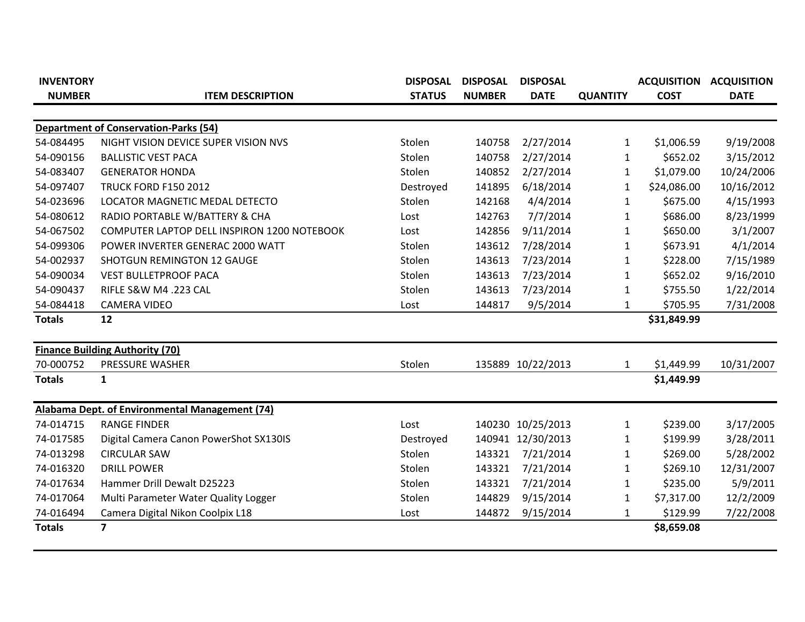| <b>INVENTORY</b><br><b>NUMBER</b> | <b>ITEM DESCRIPTION</b>                        | <b>DISPOSAL</b><br><b>STATUS</b> | <b>DISPOSAL</b><br><b>NUMBER</b> | <b>DISPOSAL</b><br><b>DATE</b> | <b>QUANTITY</b> | <b>ACQUISITION</b><br><b>COST</b> | <b>ACQUISITION</b><br><b>DATE</b> |
|-----------------------------------|------------------------------------------------|----------------------------------|----------------------------------|--------------------------------|-----------------|-----------------------------------|-----------------------------------|
|                                   |                                                |                                  |                                  |                                |                 |                                   |                                   |
|                                   | <b>Department of Conservation-Parks (54)</b>   |                                  |                                  |                                |                 |                                   |                                   |
| 54-084495                         | NIGHT VISION DEVICE SUPER VISION NVS           | Stolen                           | 140758                           | 2/27/2014                      | 1               | \$1,006.59                        | 9/19/2008                         |
| 54-090156                         | <b>BALLISTIC VEST PACA</b>                     | Stolen                           | 140758                           | 2/27/2014                      | 1               | \$652.02                          | 3/15/2012                         |
| 54-083407                         | <b>GENERATOR HONDA</b>                         | Stolen                           | 140852                           | 2/27/2014                      | 1               | \$1,079.00                        | 10/24/2006                        |
| 54-097407                         | <b>TRUCK FORD F150 2012</b>                    | Destroyed                        | 141895                           | 6/18/2014                      | $\mathbf{1}$    | \$24,086.00                       | 10/16/2012                        |
| 54-023696                         | LOCATOR MAGNETIC MEDAL DETECTO                 | Stolen                           | 142168                           | 4/4/2014                       | $\mathbf{1}$    | \$675.00                          | 4/15/1993                         |
| 54-080612                         | RADIO PORTABLE W/BATTERY & CHA                 | Lost                             | 142763                           | 7/7/2014                       | 1               | \$686.00                          | 8/23/1999                         |
| 54-067502                         | COMPUTER LAPTOP DELL INSPIRON 1200 NOTEBOOK    | Lost                             | 142856                           | 9/11/2014                      | 1               | \$650.00                          | 3/1/2007                          |
| 54-099306                         | POWER INVERTER GENERAC 2000 WATT               | Stolen                           | 143612                           | 7/28/2014                      | 1               | \$673.91                          | 4/1/2014                          |
| 54-002937                         | <b>SHOTGUN REMINGTON 12 GAUGE</b>              | Stolen                           | 143613                           | 7/23/2014                      | 1               | \$228.00                          | 7/15/1989                         |
| 54-090034                         | <b>VEST BULLETPROOF PACA</b>                   | Stolen                           | 143613                           | 7/23/2014                      | $\mathbf{1}$    | \$652.02                          | 9/16/2010                         |
| 54-090437                         | RIFLE S&W M4 .223 CAL                          | Stolen                           | 143613                           | 7/23/2014                      | 1               | \$755.50                          | 1/22/2014                         |
| 54-084418                         | <b>CAMERA VIDEO</b>                            | Lost                             | 144817                           | 9/5/2014                       | 1               | \$705.95                          | 7/31/2008                         |
| <b>Totals</b>                     | 12                                             |                                  |                                  |                                |                 | \$31,849.99                       |                                   |
|                                   | <b>Finance Building Authority (70)</b>         |                                  |                                  |                                |                 |                                   |                                   |
| 70-000752                         | PRESSURE WASHER                                | Stolen                           |                                  | 135889 10/22/2013              | 1               | \$1,449.99                        | 10/31/2007                        |
| <b>Totals</b>                     | $\mathbf{1}$                                   |                                  |                                  |                                |                 | \$1,449.99                        |                                   |
|                                   | Alabama Dept. of Environmental Management (74) |                                  |                                  |                                |                 |                                   |                                   |
| 74-014715                         | <b>RANGE FINDER</b>                            | Lost                             | 140230                           | 10/25/2013                     | 1               | \$239.00                          | 3/17/2005                         |
| 74-017585                         | Digital Camera Canon PowerShot SX130IS         | Destroyed                        | 140941                           | 12/30/2013                     | 1               | \$199.99                          | 3/28/2011                         |
| 74-013298                         | <b>CIRCULAR SAW</b>                            | Stolen                           | 143321                           | 7/21/2014                      | 1               | \$269.00                          | 5/28/2002                         |
| 74-016320                         | <b>DRILL POWER</b>                             | Stolen                           | 143321                           | 7/21/2014                      | 1               | \$269.10                          | 12/31/2007                        |
| 74-017634                         | Hammer Drill Dewalt D25223                     | Stolen                           | 143321                           | 7/21/2014                      | $\mathbf{1}$    | \$235.00                          | 5/9/2011                          |
| 74-017064                         | Multi Parameter Water Quality Logger           | Stolen                           | 144829                           | 9/15/2014                      | 1               | \$7,317.00                        | 12/2/2009                         |
| 74-016494                         | Camera Digital Nikon Coolpix L18               | Lost                             | 144872                           | 9/15/2014                      | 1               | \$129.99                          | 7/22/2008                         |
| <b>Totals</b>                     | $\overline{7}$                                 |                                  |                                  |                                |                 | \$8,659.08                        |                                   |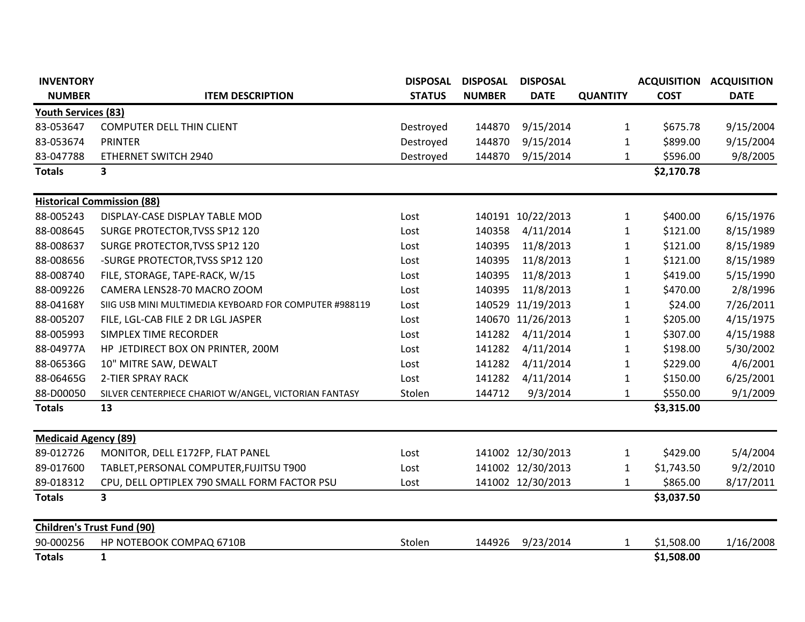| <b>INVENTORY</b>                  |                                                        | <b>DISPOSAL</b> | <b>DISPOSAL</b> | <b>DISPOSAL</b>   |                 | <b>ACQUISITION</b> | <b>ACQUISITION</b> |
|-----------------------------------|--------------------------------------------------------|-----------------|-----------------|-------------------|-----------------|--------------------|--------------------|
| <b>NUMBER</b>                     | <b>ITEM DESCRIPTION</b>                                | <b>STATUS</b>   | <b>NUMBER</b>   | <b>DATE</b>       | <b>QUANTITY</b> | <b>COST</b>        | <b>DATE</b>        |
| <b>Youth Services (83)</b>        |                                                        |                 |                 |                   |                 |                    |                    |
| 83-053647                         | <b>COMPUTER DELL THIN CLIENT</b>                       | Destroyed       | 144870          | 9/15/2014         | $\mathbf{1}$    | \$675.78           | 9/15/2004          |
| 83-053674                         | <b>PRINTER</b>                                         | Destroyed       | 144870          | 9/15/2014         | $\mathbf{1}$    | \$899.00           | 9/15/2004          |
| 83-047788                         | ETHERNET SWITCH 2940                                   | Destroyed       | 144870          | 9/15/2014         | $\mathbf{1}$    | \$596.00           | 9/8/2005           |
| <b>Totals</b>                     | 3                                                      |                 |                 |                   |                 | \$2,170.78         |                    |
|                                   | <b>Historical Commission (88)</b>                      |                 |                 |                   |                 |                    |                    |
| 88-005243                         | DISPLAY-CASE DISPLAY TABLE MOD                         | Lost            |                 | 140191 10/22/2013 | $\mathbf{1}$    | \$400.00           | 6/15/1976          |
| 88-008645                         | SURGE PROTECTOR, TVSS SP12 120                         | Lost            | 140358          | 4/11/2014         | $\mathbf{1}$    | \$121.00           | 8/15/1989          |
| 88-008637                         | SURGE PROTECTOR, TVSS SP12 120                         | Lost            | 140395          | 11/8/2013         | $\mathbf{1}$    | \$121.00           | 8/15/1989          |
| 88-008656                         | -SURGE PROTECTOR, TVSS SP12 120                        | Lost            | 140395          | 11/8/2013         | $\mathbf{1}$    | \$121.00           | 8/15/1989          |
| 88-008740                         | FILE, STORAGE, TAPE-RACK, W/15                         | Lost            | 140395          | 11/8/2013         | $\mathbf{1}$    | \$419.00           | 5/15/1990          |
| 88-009226                         | CAMERA LENS28-70 MACRO ZOOM                            | Lost            | 140395          | 11/8/2013         | $\mathbf{1}$    | \$470.00           | 2/8/1996           |
| 88-04168Y                         | SIIG USB MINI MULTIMEDIA KEYBOARD FOR COMPUTER #988119 | Lost            | 140529          | 11/19/2013        | $\mathbf{1}$    | \$24.00            | 7/26/2011          |
| 88-005207                         | FILE, LGL-CAB FILE 2 DR LGL JASPER                     | Lost            | 140670          | 11/26/2013        | $\mathbf{1}$    | \$205.00           | 4/15/1975          |
| 88-005993                         | <b>SIMPLEX TIME RECORDER</b>                           | Lost            | 141282          | 4/11/2014         | $\mathbf{1}$    | \$307.00           | 4/15/1988          |
| 88-04977A                         | HP JETDIRECT BOX ON PRINTER, 200M                      | Lost            | 141282          | 4/11/2014         | $\mathbf{1}$    | \$198.00           | 5/30/2002          |
| 88-06536G                         | 10" MITRE SAW, DEWALT                                  | Lost            | 141282          | 4/11/2014         | $\mathbf{1}$    | \$229.00           | 4/6/2001           |
| 88-06465G                         | <b>2-TIER SPRAY RACK</b>                               | Lost            | 141282          | 4/11/2014         | $\mathbf{1}$    | \$150.00           | 6/25/2001          |
| 88-D00050                         | SILVER CENTERPIECE CHARIOT W/ANGEL, VICTORIAN FANTASY  | Stolen          | 144712          | 9/3/2014          | $\mathbf{1}$    | \$550.00           | 9/1/2009           |
| <b>Totals</b>                     | 13                                                     |                 |                 |                   |                 | \$3,315.00         |                    |
| <b>Medicaid Agency (89)</b>       |                                                        |                 |                 |                   |                 |                    |                    |
| 89-012726                         | MONITOR, DELL E172FP, FLAT PANEL                       | Lost            |                 | 141002 12/30/2013 | $\mathbf{1}$    | \$429.00           | 5/4/2004           |
| 89-017600                         | TABLET, PERSONAL COMPUTER, FUJITSU T900                | Lost            |                 | 141002 12/30/2013 | $\mathbf{1}$    | \$1,743.50         | 9/2/2010           |
| 89-018312                         | CPU, DELL OPTIPLEX 790 SMALL FORM FACTOR PSU           | Lost            |                 | 141002 12/30/2013 | 1               | \$865.00           | 8/17/2011          |
| <b>Totals</b>                     | $\overline{\mathbf{3}}$                                |                 |                 |                   |                 | \$3,037.50         |                    |
| <b>Children's Trust Fund (90)</b> |                                                        |                 |                 |                   |                 |                    |                    |
| 90-000256                         | HP NOTEBOOK COMPAQ 6710B                               | Stolen          | 144926          | 9/23/2014         | 1               | \$1,508.00         | 1/16/2008          |
| <b>Totals</b>                     | $\mathbf{1}$                                           |                 |                 |                   |                 | \$1,508.00         |                    |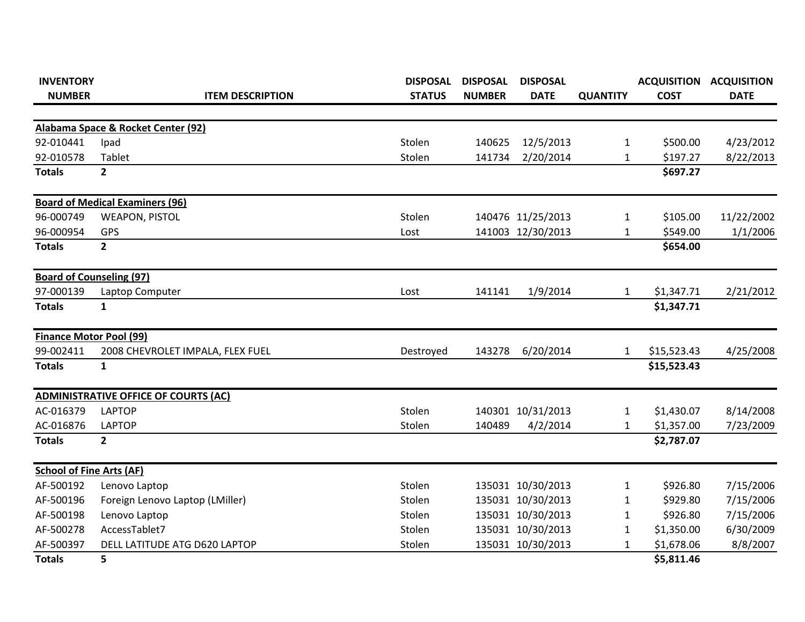| <b>INVENTORY</b>                |                                             | <b>DISPOSAL</b> | <b>DISPOSAL</b> | <b>DISPOSAL</b>   |                 | <b>ACQUISITION</b> | <b>ACQUISITION</b> |
|---------------------------------|---------------------------------------------|-----------------|-----------------|-------------------|-----------------|--------------------|--------------------|
| <b>NUMBER</b>                   | <b>ITEM DESCRIPTION</b>                     | <b>STATUS</b>   | <b>NUMBER</b>   | <b>DATE</b>       | <b>QUANTITY</b> | <b>COST</b>        | <b>DATE</b>        |
|                                 |                                             |                 |                 |                   |                 |                    |                    |
|                                 | Alabama Space & Rocket Center (92)          |                 |                 |                   |                 |                    |                    |
| 92-010441                       | Ipad                                        | Stolen          | 140625          | 12/5/2013         | $\mathbf{1}$    | \$500.00           | 4/23/2012          |
| 92-010578                       | Tablet                                      | Stolen          | 141734          | 2/20/2014         | $\mathbf{1}$    | \$197.27           | 8/22/2013          |
| <b>Totals</b>                   | $2^{\circ}$                                 |                 |                 |                   |                 | \$697.27           |                    |
|                                 | <b>Board of Medical Examiners (96)</b>      |                 |                 |                   |                 |                    |                    |
| 96-000749                       | <b>WEAPON, PISTOL</b>                       | Stolen          |                 | 140476 11/25/2013 | $\mathbf{1}$    | \$105.00           | 11/22/2002         |
| 96-000954                       | <b>GPS</b>                                  | Lost            |                 | 141003 12/30/2013 | 1               | \$549.00           | 1/1/2006           |
| <b>Totals</b>                   | $\overline{2}$                              |                 |                 |                   |                 | \$654.00           |                    |
|                                 | <b>Board of Counseling (97)</b>             |                 |                 |                   |                 |                    |                    |
| 97-000139                       | Laptop Computer                             | Lost            | 141141          | 1/9/2014          | $\mathbf{1}$    | \$1,347.71         | 2/21/2012          |
| <b>Totals</b>                   | 1                                           |                 |                 |                   |                 | \$1,347.71         |                    |
|                                 | <b>Finance Motor Pool (99)</b>              |                 |                 |                   |                 |                    |                    |
| 99-002411                       | 2008 CHEVROLET IMPALA, FLEX FUEL            | Destroyed       | 143278          | 6/20/2014         | 1               | \$15,523.43        | 4/25/2008          |
| <b>Totals</b>                   | $\mathbf{1}$                                |                 |                 |                   |                 | \$15,523.43        |                    |
|                                 | <b>ADMINISTRATIVE OFFICE OF COURTS (AC)</b> |                 |                 |                   |                 |                    |                    |
| AC-016379                       | <b>LAPTOP</b>                               | Stolen          |                 | 140301 10/31/2013 | $\mathbf{1}$    | \$1,430.07         | 8/14/2008          |
| AC-016876                       | <b>LAPTOP</b>                               | Stolen          | 140489          | 4/2/2014          | 1               | \$1,357.00         | 7/23/2009          |
| <b>Totals</b>                   | $\overline{2}$                              |                 |                 |                   |                 | \$2,787.07         |                    |
| <b>School of Fine Arts (AF)</b> |                                             |                 |                 |                   |                 |                    |                    |
| AF-500192                       | Lenovo Laptop                               | Stolen          |                 | 135031 10/30/2013 | $\mathbf{1}$    | \$926.80           | 7/15/2006          |
| AF-500196                       | Foreign Lenovo Laptop (LMiller)             | Stolen          |                 | 135031 10/30/2013 | 1               | \$929.80           | 7/15/2006          |
| AF-500198                       | Lenovo Laptop                               | Stolen          |                 | 135031 10/30/2013 | 1               | \$926.80           | 7/15/2006          |
| AF-500278                       | AccessTablet7                               | Stolen          |                 | 135031 10/30/2013 | 1               | \$1,350.00         | 6/30/2009          |
| AF-500397                       | DELL LATITUDE ATG D620 LAPTOP               | Stolen          |                 | 135031 10/30/2013 | 1               | \$1,678.06         | 8/8/2007           |
| <b>Totals</b>                   | 5                                           |                 |                 |                   |                 | \$5,811.46         |                    |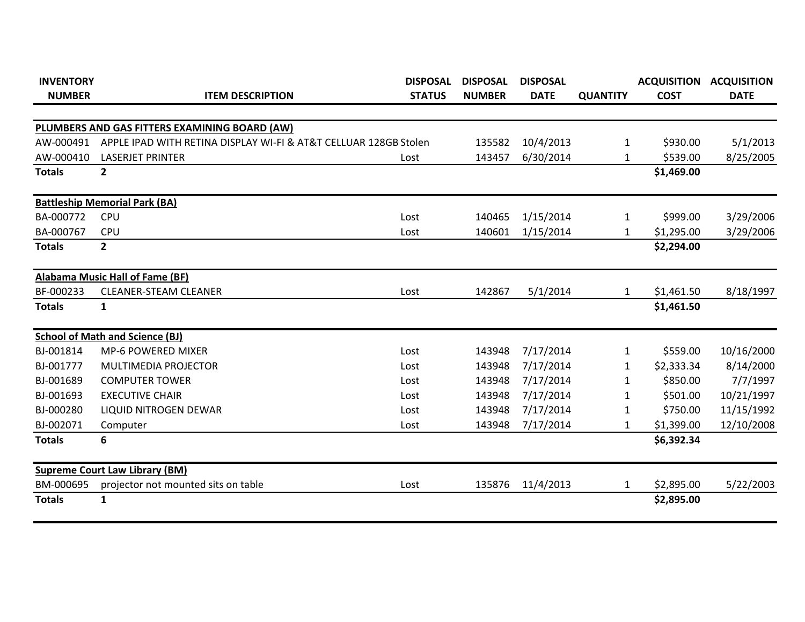| <b>INVENTORY</b> |                                                                  | <b>DISPOSAL</b> | <b>DISPOSAL</b> | <b>DISPOSAL</b> |                 | <b>ACQUISITION</b> | <b>ACQUISITION</b> |
|------------------|------------------------------------------------------------------|-----------------|-----------------|-----------------|-----------------|--------------------|--------------------|
| <b>NUMBER</b>    | <b>ITEM DESCRIPTION</b>                                          | <b>STATUS</b>   | <b>NUMBER</b>   | <b>DATE</b>     | <b>QUANTITY</b> | <b>COST</b>        | <b>DATE</b>        |
|                  |                                                                  |                 |                 |                 |                 |                    |                    |
|                  | PLUMBERS AND GAS FITTERS EXAMINING BOARD (AW)                    |                 |                 |                 |                 |                    |                    |
| AW-000491        | APPLE IPAD WITH RETINA DISPLAY WI-FI & AT&T CELLUAR 128GB Stolen |                 | 135582          | 10/4/2013       | 1               | \$930.00           | 5/1/2013           |
| AW-000410        | <b>LASERJET PRINTER</b>                                          | Lost            | 143457          | 6/30/2014       | 1               | \$539.00           | 8/25/2005          |
| <b>Totals</b>    | $\overline{2}$                                                   |                 |                 |                 |                 | \$1,469.00         |                    |
|                  | <b>Battleship Memorial Park (BA)</b>                             |                 |                 |                 |                 |                    |                    |
| BA-000772        | <b>CPU</b>                                                       | Lost            | 140465          | 1/15/2014       | 1               | \$999.00           | 3/29/2006          |
| BA-000767        | <b>CPU</b>                                                       | Lost            | 140601          | 1/15/2014       | $\mathbf{1}$    | \$1,295.00         | 3/29/2006          |
| <b>Totals</b>    | $\mathbf{2}$                                                     |                 |                 |                 |                 | \$2,294.00         |                    |
|                  | Alabama Music Hall of Fame (BF)                                  |                 |                 |                 |                 |                    |                    |
| BF-000233        | <b>CLEANER-STEAM CLEANER</b>                                     | Lost            | 142867          | 5/1/2014        | 1               | \$1,461.50         | 8/18/1997          |
| <b>Totals</b>    | 1                                                                |                 |                 |                 |                 | \$1,461.50         |                    |
|                  | <b>School of Math and Science (BJ)</b>                           |                 |                 |                 |                 |                    |                    |
| BJ-001814        | <b>MP-6 POWERED MIXER</b>                                        | Lost            | 143948          | 7/17/2014       | 1               | \$559.00           | 10/16/2000         |
| BJ-001777        | MULTIMEDIA PROJECTOR                                             | Lost            | 143948          | 7/17/2014       | 1               | \$2,333.34         | 8/14/2000          |
| BJ-001689        | <b>COMPUTER TOWER</b>                                            | Lost            | 143948          | 7/17/2014       | 1               | \$850.00           | 7/7/1997           |
| BJ-001693        | <b>EXECUTIVE CHAIR</b>                                           | Lost            | 143948          | 7/17/2014       | 1               | \$501.00           | 10/21/1997         |
| BJ-000280        | LIQUID NITROGEN DEWAR                                            | Lost            | 143948          | 7/17/2014       | 1               | \$750.00           | 11/15/1992         |
| BJ-002071        | Computer                                                         | Lost            | 143948          | 7/17/2014       | 1               | \$1,399.00         | 12/10/2008         |
| <b>Totals</b>    | 6                                                                |                 |                 |                 |                 | \$6,392.34         |                    |
|                  | <b>Supreme Court Law Library (BM)</b>                            |                 |                 |                 |                 |                    |                    |
| BM-000695        | projector not mounted sits on table                              | Lost            | 135876          | 11/4/2013       | 1               | \$2,895.00         | 5/22/2003          |
| <b>Totals</b>    | 1                                                                |                 |                 |                 |                 | \$2,895.00         |                    |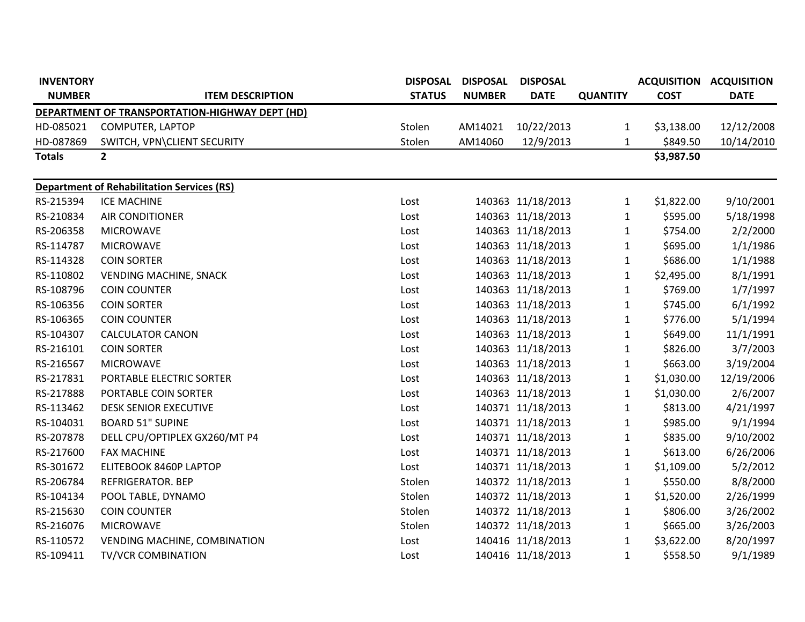| <b>INVENTORY</b>                               |                                                   | <b>DISPOSAL</b> | <b>DISPOSAL</b> | <b>DISPOSAL</b>   |                 |             | <b>ACQUISITION ACQUISITION</b> |  |  |  |  |  |
|------------------------------------------------|---------------------------------------------------|-----------------|-----------------|-------------------|-----------------|-------------|--------------------------------|--|--|--|--|--|
| <b>NUMBER</b>                                  | <b>ITEM DESCRIPTION</b>                           | <b>STATUS</b>   | <b>NUMBER</b>   | <b>DATE</b>       | <b>QUANTITY</b> | <b>COST</b> | <b>DATE</b>                    |  |  |  |  |  |
| DEPARTMENT OF TRANSPORTATION-HIGHWAY DEPT (HD) |                                                   |                 |                 |                   |                 |             |                                |  |  |  |  |  |
| HD-085021                                      | COMPUTER, LAPTOP                                  | Stolen          | AM14021         | 10/22/2013        | $\mathbf{1}$    | \$3,138.00  | 12/12/2008                     |  |  |  |  |  |
| HD-087869                                      | SWITCH, VPN\CLIENT SECURITY                       | Stolen          | AM14060         | 12/9/2013         | 1               | \$849.50    | 10/14/2010                     |  |  |  |  |  |
| <b>Totals</b>                                  | $2^{\circ}$                                       |                 |                 |                   |                 | \$3,987.50  |                                |  |  |  |  |  |
|                                                |                                                   |                 |                 |                   |                 |             |                                |  |  |  |  |  |
|                                                | <b>Department of Rehabilitation Services (RS)</b> |                 |                 |                   |                 |             |                                |  |  |  |  |  |
| RS-215394                                      | <b>ICE MACHINE</b>                                | Lost            |                 | 140363 11/18/2013 | $\mathbf{1}$    | \$1,822.00  | 9/10/2001                      |  |  |  |  |  |
| RS-210834                                      | <b>AIR CONDITIONER</b>                            | Lost            |                 | 140363 11/18/2013 | $\mathbf{1}$    | \$595.00    | 5/18/1998                      |  |  |  |  |  |
| RS-206358                                      | <b>MICROWAVE</b>                                  | Lost            |                 | 140363 11/18/2013 | 1               | \$754.00    | 2/2/2000                       |  |  |  |  |  |
| RS-114787                                      | <b>MICROWAVE</b>                                  | Lost            |                 | 140363 11/18/2013 | $\mathbf{1}$    | \$695.00    | 1/1/1986                       |  |  |  |  |  |
| RS-114328                                      | <b>COIN SORTER</b>                                | Lost            |                 | 140363 11/18/2013 | $\mathbf{1}$    | \$686.00    | 1/1/1988                       |  |  |  |  |  |
| RS-110802                                      | <b>VENDING MACHINE, SNACK</b>                     | Lost            |                 | 140363 11/18/2013 | $\mathbf{1}$    | \$2,495.00  | 8/1/1991                       |  |  |  |  |  |
| RS-108796                                      | <b>COIN COUNTER</b>                               | Lost            |                 | 140363 11/18/2013 | $\mathbf{1}$    | \$769.00    | 1/7/1997                       |  |  |  |  |  |
| RS-106356                                      | <b>COIN SORTER</b>                                | Lost            |                 | 140363 11/18/2013 | 1               | \$745.00    | 6/1/1992                       |  |  |  |  |  |
| RS-106365                                      | <b>COIN COUNTER</b>                               | Lost            |                 | 140363 11/18/2013 | $\mathbf{1}$    | \$776.00    | 5/1/1994                       |  |  |  |  |  |
| RS-104307                                      | <b>CALCULATOR CANON</b>                           | Lost            |                 | 140363 11/18/2013 | 1               | \$649.00    | 11/1/1991                      |  |  |  |  |  |
| RS-216101                                      | <b>COIN SORTER</b>                                | Lost            |                 | 140363 11/18/2013 | $\mathbf{1}$    | \$826.00    | 3/7/2003                       |  |  |  |  |  |
| RS-216567                                      | <b>MICROWAVE</b>                                  | Lost            |                 | 140363 11/18/2013 | 1               | \$663.00    | 3/19/2004                      |  |  |  |  |  |
| RS-217831                                      | PORTABLE ELECTRIC SORTER                          | Lost            |                 | 140363 11/18/2013 | $\mathbf{1}$    | \$1,030.00  | 12/19/2006                     |  |  |  |  |  |
| RS-217888                                      | PORTABLE COIN SORTER                              | Lost            |                 | 140363 11/18/2013 | $\mathbf{1}$    | \$1,030.00  | 2/6/2007                       |  |  |  |  |  |
| RS-113462                                      | <b>DESK SENIOR EXECUTIVE</b>                      | Lost            |                 | 140371 11/18/2013 | $\mathbf{1}$    | \$813.00    | 4/21/1997                      |  |  |  |  |  |
| RS-104031                                      | <b>BOARD 51" SUPINE</b>                           | Lost            |                 | 140371 11/18/2013 | $\mathbf{1}$    | \$985.00    | 9/1/1994                       |  |  |  |  |  |
| RS-207878                                      | DELL CPU/OPTIPLEX GX260/MT P4                     | Lost            |                 | 140371 11/18/2013 | $\mathbf{1}$    | \$835.00    | 9/10/2002                      |  |  |  |  |  |
| RS-217600                                      | <b>FAX MACHINE</b>                                | Lost            |                 | 140371 11/18/2013 | $\mathbf{1}$    | \$613.00    | 6/26/2006                      |  |  |  |  |  |
| RS-301672                                      | ELITEBOOK 8460P LAPTOP                            | Lost            |                 | 140371 11/18/2013 | $\mathbf{1}$    | \$1,109.00  | 5/2/2012                       |  |  |  |  |  |
| RS-206784                                      | <b>REFRIGERATOR. BEP</b>                          | Stolen          |                 | 140372 11/18/2013 | $\mathbf{1}$    | \$550.00    | 8/8/2000                       |  |  |  |  |  |
| RS-104134                                      | POOL TABLE, DYNAMO                                | Stolen          |                 | 140372 11/18/2013 | $\mathbf{1}$    | \$1,520.00  | 2/26/1999                      |  |  |  |  |  |
| RS-215630                                      | <b>COIN COUNTER</b>                               | Stolen          |                 | 140372 11/18/2013 | $\mathbf{1}$    | \$806.00    | 3/26/2002                      |  |  |  |  |  |
| RS-216076                                      | <b>MICROWAVE</b>                                  | Stolen          |                 | 140372 11/18/2013 | 1               | \$665.00    | 3/26/2003                      |  |  |  |  |  |
| RS-110572                                      | <b>VENDING MACHINE, COMBINATION</b>               | Lost            |                 | 140416 11/18/2013 | $\mathbf{1}$    | \$3,622.00  | 8/20/1997                      |  |  |  |  |  |
| RS-109411                                      | <b>TV/VCR COMBINATION</b>                         | Lost            |                 | 140416 11/18/2013 | $\mathbf{1}$    | \$558.50    | 9/1/1989                       |  |  |  |  |  |